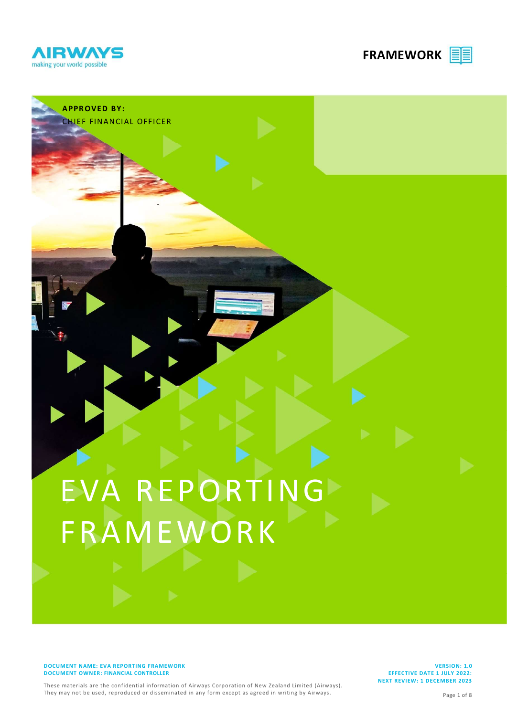

**APPROVED BY:** 

CHIEF FINANCIAL OFFICER

FRAMEWORK EE



# EVA REPORTING FRAMEWORK

DOCUMENT NAME: EVA REPORTING FRAMEWORK DOCUMENT OWNER: FINANCIAL CONTROLLER

VERSION: 1.0 EFFECTIVE DATE 1 JULY 2022: NEXT REVIEW: 1 DECEMBER 2023

These materials are the confidential information of Airways Corporation of New Zealand Limited (Airways). They may not be used, reproduced or disseminated in any form except as agreed in writing by Airways.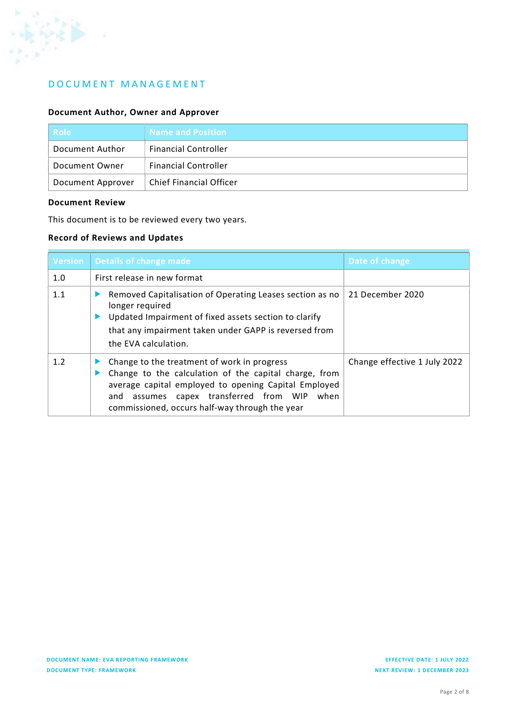

# D O C U M E N T M A N A G E M E N T

#### Document Author, Owner and Approver

| <b>Role</b>       | <b>Name and Position</b>       |
|-------------------|--------------------------------|
| Document Author   | <b>Financial Controller</b>    |
| Document Owner    | <b>Financial Controller</b>    |
| Document Approver | <b>Chief Financial Officer</b> |

#### Document Review

This document is to be reviewed every two years.

## Record of Reviews and Updates

| <b>Version</b> | Details of change made                                                                                                                                                                                                                                              | Date of change               |
|----------------|---------------------------------------------------------------------------------------------------------------------------------------------------------------------------------------------------------------------------------------------------------------------|------------------------------|
| 1.0            | First release in new format                                                                                                                                                                                                                                         |                              |
| 1.1            | Removed Capitalisation of Operating Leases section as no<br>longer required<br>Updated Impairment of fixed assets section to clarify<br>that any impairment taken under GAPP is reversed from<br>the EVA calculation.                                               | 21 December 2020             |
| 1.2            | Change to the treatment of work in progress<br>Change to the calculation of the capital charge, from<br>average capital employed to opening Capital Employed<br>assumes capex transferred from WIP<br>when<br>and<br>commissioned, occurs half-way through the year | Change effective 1 July 2022 |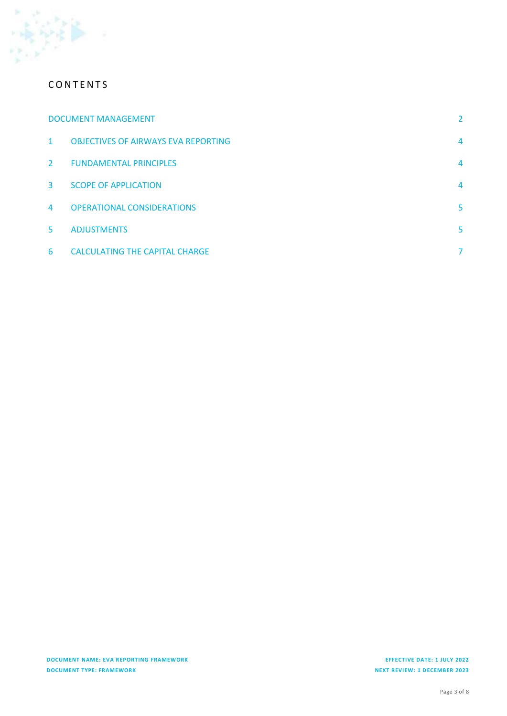

# **CONTENTS**

|                | <b>DOCUMENT MANAGEMENT</b>                 |   |
|----------------|--------------------------------------------|---|
| $\mathbf{1}$   | <b>OBJECTIVES OF AIRWAYS EVA REPORTING</b> | 4 |
| $\mathbf{2}$   | <b>FUNDAMENTAL PRINCIPLES</b>              | 4 |
| $\mathbf{3}$   | <b>SCOPE OF APPLICATION</b>                | 4 |
| $\overline{4}$ | <b>OPERATIONAL CONSIDERATIONS</b>          | 5 |
| 5.             | <b>ADJUSTMENTS</b>                         | 5 |
| 6              | <b>CALCULATING THE CAPITAL CHARGE</b>      | 7 |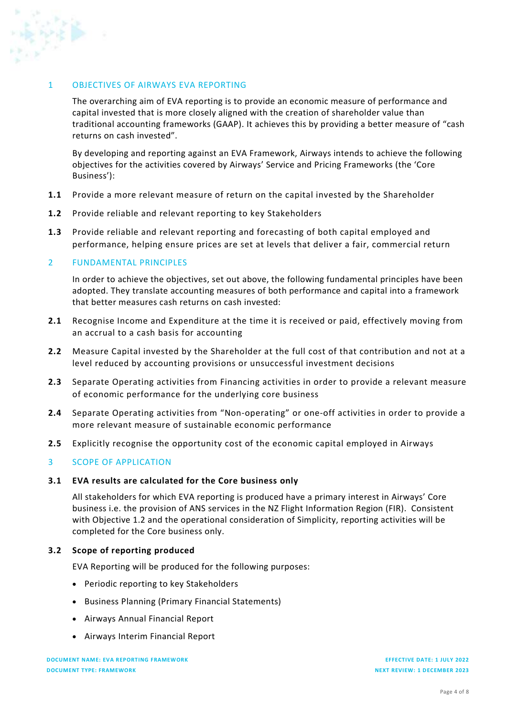# 1 OBJECTIVES OF AIRWAYS EVA REPORTING

The overarching aim of EVA reporting is to provide an economic measure of performance and capital invested that is more closely aligned with the creation of shareholder value than traditional accounting frameworks (GAAP). It achieves this by providing a better measure of "cash returns on cash invested".

By developing and reporting against an EVA Framework, Airways intends to achieve the following objectives for the activities covered by Airways' Service and Pricing Frameworks (the 'Core Business'):

- 1.1 Provide a more relevant measure of return on the capital invested by the Shareholder
- 1.2 Provide reliable and relevant reporting to key Stakeholders
- 1.3 Provide reliable and relevant reporting and forecasting of both capital employed and performance, helping ensure prices are set at levels that deliver a fair, commercial return

#### 2 FUNDAMENTAL PRINCIPLES

In order to achieve the objectives, set out above, the following fundamental principles have been adopted. They translate accounting measures of both performance and capital into a framework that better measures cash returns on cash invested:

- 2.1 Recognise Income and Expenditure at the time it is received or paid, effectively moving from an accrual to a cash basis for accounting
- 2.2 Measure Capital invested by the Shareholder at the full cost of that contribution and not at a level reduced by accounting provisions or unsuccessful investment decisions
- 2.3 Separate Operating activities from Financing activities in order to provide a relevant measure of economic performance for the underlying core business
- 2.4 Separate Operating activities from "Non-operating" or one-off activities in order to provide a more relevant measure of sustainable economic performance
- 2.5 Explicitly recognise the opportunity cost of the economic capital employed in Airways

#### 3 SCOPE OF APPLICATION

#### 3.1 EVA results are calculated for the Core business only

All stakeholders for which EVA reporting is produced have a primary interest in Airways' Core business i.e. the provision of ANS services in the NZ Flight Information Region (FIR). Consistent with Objective 1.2 and the operational consideration of Simplicity, reporting activities will be completed for the Core business only.

#### 3.2 Scope of reporting produced

EVA Reporting will be produced for the following purposes:

- Periodic reporting to key Stakeholders
- Business Planning (Primary Financial Statements)
- Airways Annual Financial Report
- Airways Interim Financial Report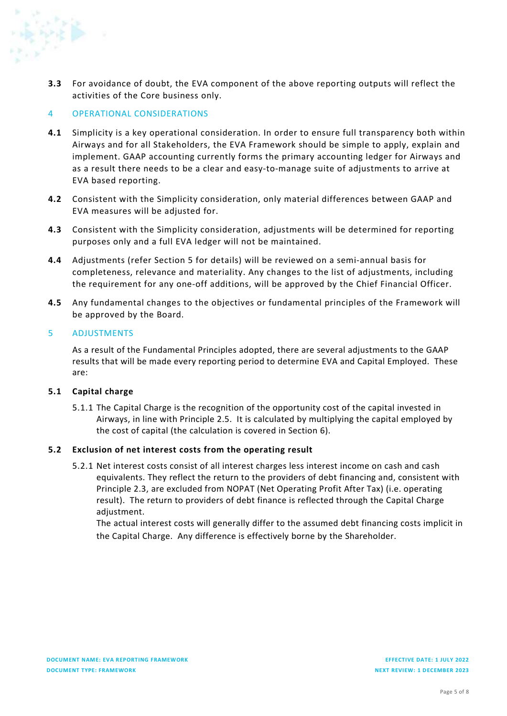

3.3 For avoidance of doubt, the EVA component of the above reporting outputs will reflect the activities of the Core business only.

## 4 OPERATIONAL CONSIDERATIONS

- 4.1 Simplicity is a key operational consideration. In order to ensure full transparency both within Airways and for all Stakeholders, the EVA Framework should be simple to apply, explain and implement. GAAP accounting currently forms the primary accounting ledger for Airways and as a result there needs to be a clear and easy-to-manage suite of adjustments to arrive at EVA based reporting.
- 4.2 Consistent with the Simplicity consideration, only material differences between GAAP and EVA measures will be adjusted for.
- 4.3 Consistent with the Simplicity consideration, adjustments will be determined for reporting purposes only and a full EVA ledger will not be maintained.
- 4.4 Adjustments (refer Section 5 for details) will be reviewed on a semi-annual basis for completeness, relevance and materiality. Any changes to the list of adjustments, including the requirement for any one-off additions, will be approved by the Chief Financial Officer.
- 4.5 Any fundamental changes to the objectives or fundamental principles of the Framework will be approved by the Board.

#### 5 ADJUSTMENTS

As a result of the Fundamental Principles adopted, there are several adjustments to the GAAP results that will be made every reporting period to determine EVA and Capital Employed. These are:

#### 5.1 Capital charge

5.1.1 The Capital Charge is the recognition of the opportunity cost of the capital invested in Airways, in line with Principle 2.5. It is calculated by multiplying the capital employed by the cost of capital (the calculation is covered in Section 6).

#### 5.2 Exclusion of net interest costs from the operating result

5.2.1 Net interest costs consist of all interest charges less interest income on cash and cash equivalents. They reflect the return to the providers of debt financing and, consistent with Principle 2.3, are excluded from NOPAT (Net Operating Profit After Tax) (i.e. operating result). The return to providers of debt finance is reflected through the Capital Charge adjustment.

The actual interest costs will generally differ to the assumed debt financing costs implicit in the Capital Charge. Any difference is effectively borne by the Shareholder.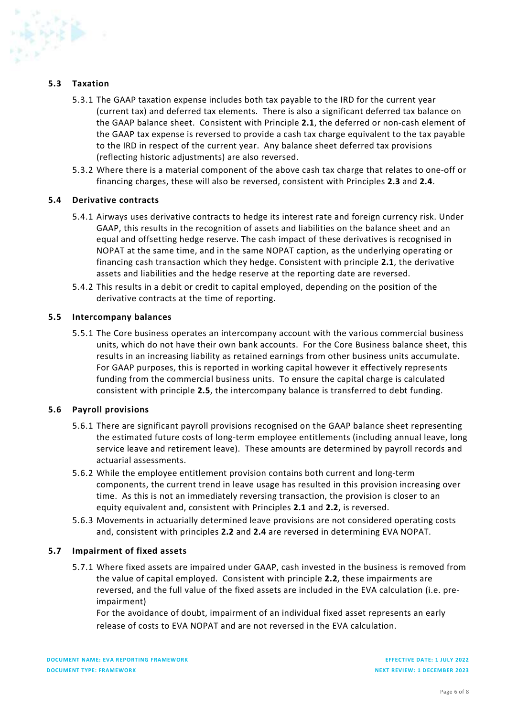#### 5.3 Taxation

- 5.3.1 The GAAP taxation expense includes both tax payable to the IRD for the current year (current tax) and deferred tax elements. There is also a significant deferred tax balance on the GAAP balance sheet. Consistent with Principle 2.1, the deferred or non-cash element of the GAAP tax expense is reversed to provide a cash tax charge equivalent to the tax payable to the IRD in respect of the current year. Any balance sheet deferred tax provisions (reflecting historic adjustments) are also reversed.
- 5.3.2 Where there is a material component of the above cash tax charge that relates to one-off or financing charges, these will also be reversed, consistent with Principles 2.3 and 2.4.

#### 5.4 Derivative contracts

- 5.4.1 Airways uses derivative contracts to hedge its interest rate and foreign currency risk. Under GAAP, this results in the recognition of assets and liabilities on the balance sheet and an equal and offsetting hedge reserve. The cash impact of these derivatives is recognised in NOPAT at the same time, and in the same NOPAT caption, as the underlying operating or financing cash transaction which they hedge. Consistent with principle 2.1, the derivative assets and liabilities and the hedge reserve at the reporting date are reversed.
- 5.4.2 This results in a debit or credit to capital employed, depending on the position of the derivative contracts at the time of reporting.

#### 5.5 Intercompany balances

5.5.1 The Core business operates an intercompany account with the various commercial business units, which do not have their own bank accounts. For the Core Business balance sheet, this results in an increasing liability as retained earnings from other business units accumulate. For GAAP purposes, this is reported in working capital however it effectively represents funding from the commercial business units. To ensure the capital charge is calculated consistent with principle 2.5, the intercompany balance is transferred to debt funding.

#### 5.6 Payroll provisions

- 5.6.1 There are significant payroll provisions recognised on the GAAP balance sheet representing the estimated future costs of long-term employee entitlements (including annual leave, long service leave and retirement leave). These amounts are determined by payroll records and actuarial assessments.
- 5.6.2 While the employee entitlement provision contains both current and long-term components, the current trend in leave usage has resulted in this provision increasing over time. As this is not an immediately reversing transaction, the provision is closer to an equity equivalent and, consistent with Principles 2.1 and 2.2, is reversed.
- 5.6.3 Movements in actuarially determined leave provisions are not considered operating costs and, consistent with principles 2.2 and 2.4 are reversed in determining EVA NOPAT.

#### 5.7 Impairment of fixed assets

5.7.1 Where fixed assets are impaired under GAAP, cash invested in the business is removed from the value of capital employed. Consistent with principle 2.2, these impairments are reversed, and the full value of the fixed assets are included in the EVA calculation (i.e. preimpairment)

For the avoidance of doubt, impairment of an individual fixed asset represents an early release of costs to EVA NOPAT and are not reversed in the EVA calculation.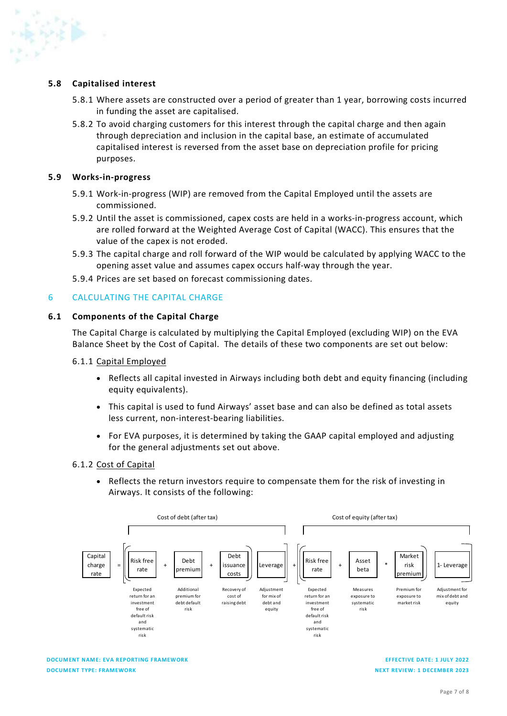#### 5.8 Capitalised interest

- 5.8.1 Where assets are constructed over a period of greater than 1 year, borrowing costs incurred in funding the asset are capitalised.
- 5.8.2 To avoid charging customers for this interest through the capital charge and then again through depreciation and inclusion in the capital base, an estimate of accumulated capitalised interest is reversed from the asset base on depreciation profile for pricing purposes.

#### 5.9 Works-in-progress

- 5.9.1 Work-in-progress (WIP) are removed from the Capital Employed until the assets are commissioned.
- 5.9.2 Until the asset is commissioned, capex costs are held in a works-in-progress account, which are rolled forward at the Weighted Average Cost of Capital (WACC). This ensures that the value of the capex is not eroded.
- 5.9.3 The capital charge and roll forward of the WIP would be calculated by applying WACC to the opening asset value and assumes capex occurs half-way through the year.
- 5.9.4 Prices are set based on forecast commissioning dates.

#### 6 CALCULATING THE CAPITAL CHARGE

#### 6.1 Components of the Capital Charge

The Capital Charge is calculated by multiplying the Capital Employed (excluding WIP) on the EVA Balance Sheet by the Cost of Capital. The details of these two components are set out below:

#### 6.1.1 Capital Employed

- Reflects all capital invested in Airways including both debt and equity financing (including equity equivalents).
- This capital is used to fund Airways' asset base and can also be defined as total assets less current, non-interest-bearing liabilities.
- For EVA purposes, it is determined by taking the GAAP capital employed and adjusting for the general adjustments set out above.

#### 6.1.2 Cost of Capital

• Reflects the return investors require to compensate them for the risk of investing in Airways. It consists of the following:



DOCUMENT NAME: EVA REPORTING FRAMEWORK DOCUMENT TYPE: FRAMEWORK

EFFECTIVE DATE: 1 JULY 2022 NEXT REVIEW: 1 DECEMBER 2023